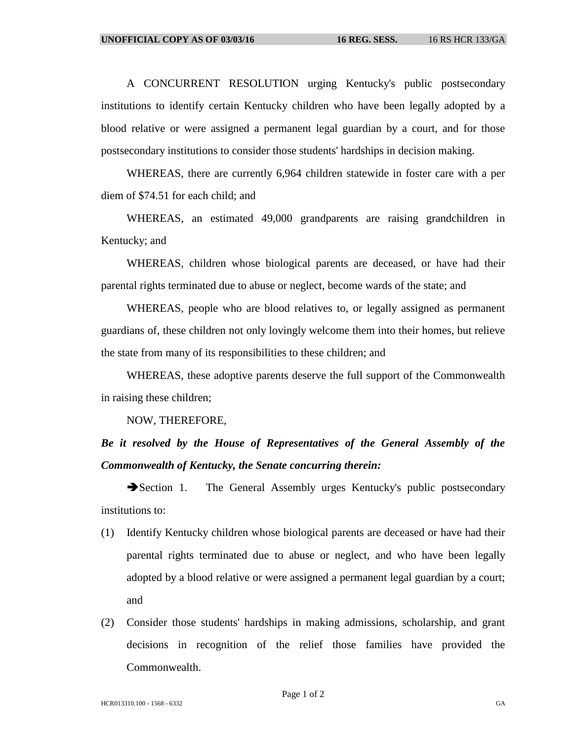A CONCURRENT RESOLUTION urging Kentucky's public postsecondary institutions to identify certain Kentucky children who have been legally adopted by a blood relative or were assigned a permanent legal guardian by a court, and for those postsecondary institutions to consider those students' hardships in decision making.

WHEREAS, there are currently 6,964 children statewide in foster care with a per diem of \$74.51 for each child; and

WHEREAS, an estimated 49,000 grandparents are raising grandchildren in Kentucky; and

WHEREAS, children whose biological parents are deceased, or have had their parental rights terminated due to abuse or neglect, become wards of the state; and

WHEREAS, people who are blood relatives to, or legally assigned as permanent guardians of, these children not only lovingly welcome them into their homes, but relieve the state from many of its responsibilities to these children; and

WHEREAS, these adoptive parents deserve the full support of the Commonwealth in raising these children;

NOW, THEREFORE,

## *Be it resolved by the House of Representatives of the General Assembly of the Commonwealth of Kentucky, the Senate concurring therein:*

Section 1. The General Assembly urges Kentucky's public postsecondary institutions to:

- (1) Identify Kentucky children whose biological parents are deceased or have had their parental rights terminated due to abuse or neglect, and who have been legally adopted by a blood relative or were assigned a permanent legal guardian by a court; and
- (2) Consider those students' hardships in making admissions, scholarship, and grant decisions in recognition of the relief those families have provided the Commonwealth.